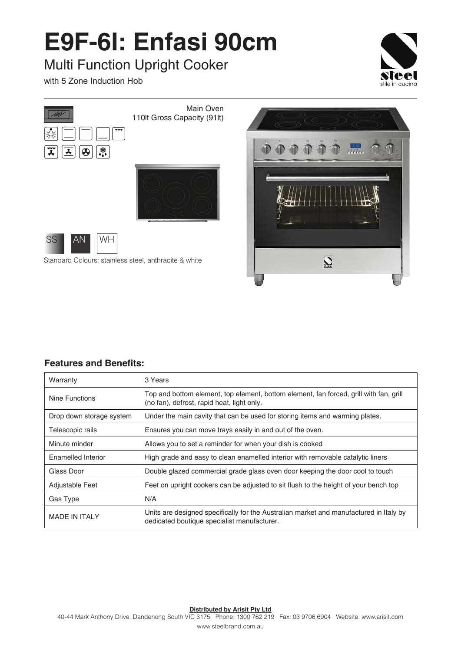## **E9F-6I: Enfasi 90cm**

## Multi Function Upright Cooker

with 5 Zone Induction Hob





Standard Colours: stainless steel, anthracite & white



## **Features and Benefits:**

| Warranty                 | 3 Years                                                                                                                               |
|--------------------------|---------------------------------------------------------------------------------------------------------------------------------------|
| Nine Functions           | Top and bottom element, top element, bottom element, fan forced, grill with fan, grill<br>(no fan), defrost, rapid heat, light only.  |
| Drop down storage system | Under the main cavity that can be used for storing items and warming plates.                                                          |
| Telescopic rails         | Ensures you can move trays easily in and out of the oven.                                                                             |
| Minute minder            | Allows you to set a reminder for when your dish is cooked                                                                             |
| Enamelled Interior       | High grade and easy to clean enamelled interior with removable catalytic liners                                                       |
| Glass Door               | Double glazed commercial grade glass oven door keeping the door cool to touch                                                         |
| Adjustable Feet          | Feet on upright cookers can be adjusted to sit flush to the height of your bench top                                                  |
| Gas Type                 | N/A                                                                                                                                   |
| <b>MADE IN ITAI Y</b>    | Units are designed specifically for the Australian market and manufactured in Italy by<br>dedicated boutique specialist manufacturer. |

**Distributed by Arisit Pty Ltd**

40-44 Mark Anthony Drive, Dandenong South VIC 3175 Phone: 1300 762 219 Fax: 03 9706 6904 Website: www.arisit.com